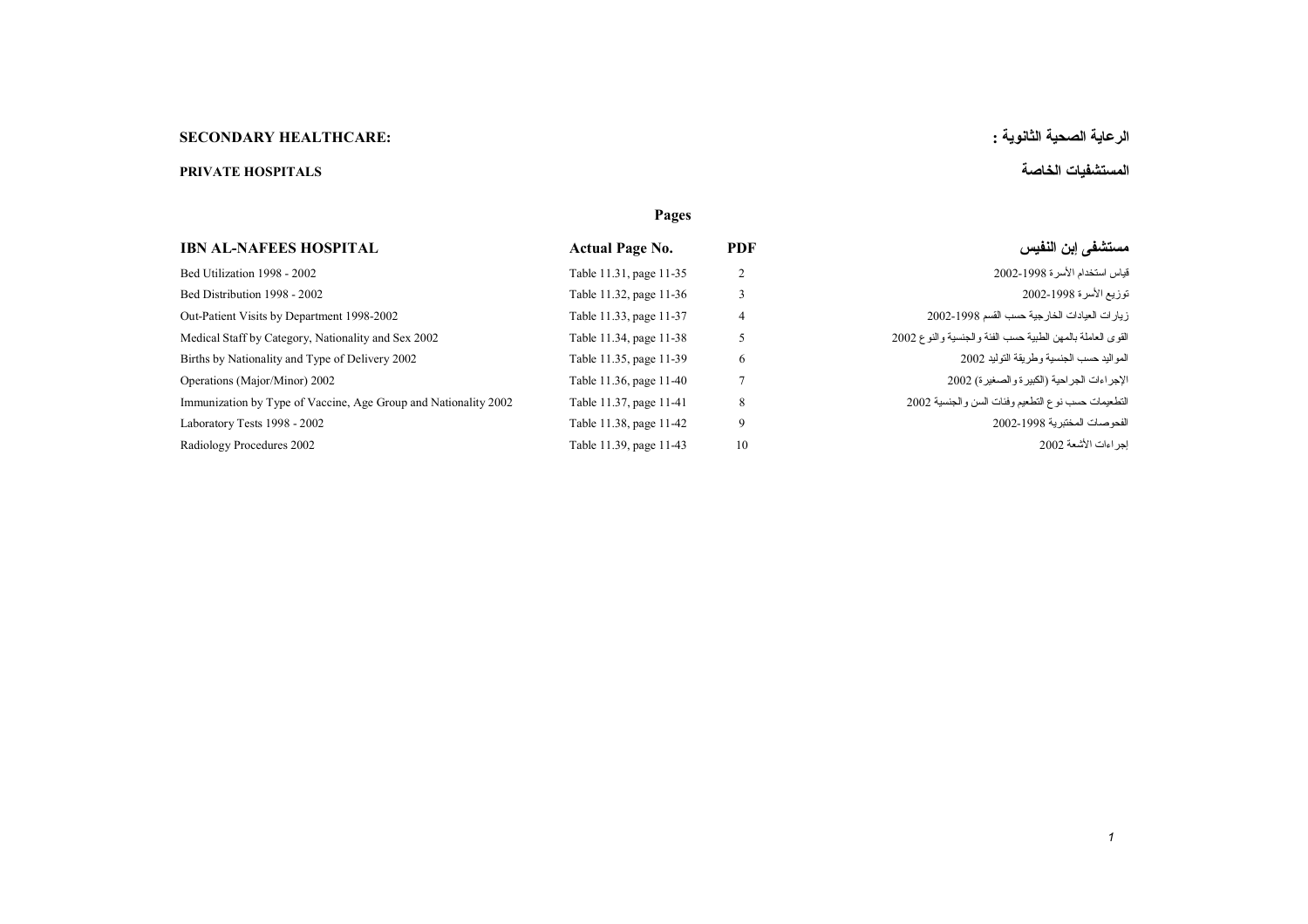## **الرعاية الصحية الثانوية : :HEALTHCARE SECONDARY**

## **المستشفيات الخاصة HOSPITALS PRIVATE**

|                                                                 | Pages                   |                |                                                            |
|-----------------------------------------------------------------|-------------------------|----------------|------------------------------------------------------------|
| <b>IBN AL-NAFEES HOSPITAL</b>                                   | <b>Actual Page No.</b>  | PDF            | مستشفى إبن النفيس                                          |
| Bed Utilization 1998 - 2002                                     | Table 11.31, page 11-35 | 2              | قياس استخدام الأسر ة 1998-2002                             |
| Bed Distribution 1998 - 2002                                    | Table 11.32, page 11-36 | 3              | وزيع الأسرة 1998-2002                                      |
| Out-Patient Visits by Department 1998-2002                      | Table 11.33, page 11-37 | $\overline{4}$ | زيار ات العيادات الخارجية حسب القسم 1998-2002              |
| Medical Staff by Category, Nationality and Sex 2002             | Table 11.34, page 11-38 | 5              | القوى العاملة بالمهن الطبية حسب الفئة والجنسية والنوع 2002 |
| Births by Nationality and Type of Delivery 2002                 | Table 11.35, page 11-39 | 6              | المو اليد حسب الجنسية و طر يقة التو ليد 2002               |
| Operations (Major/Minor) 2002                                   | Table 11.36, page 11-40 |                | الإجراءات الجراحية (الكبيرة والصغيرة) 2002                 |
| Immunization by Type of Vaccine, Age Group and Nationality 2002 | Table 11.37, page 11-41 | 8              | التطعيمات حسب نوع التطعيم وفئات السن والجنسية 2002         |
| Laboratory Tests 1998 - 2002                                    | Table 11.38, page 11-42 | 9              | الفحو صات المختبر بـة 1998-2002                            |
| Radiology Procedures 2002                                       | Table 11.39, page 11-43 | 10             | اجر اءات الأشعة 2002                                       |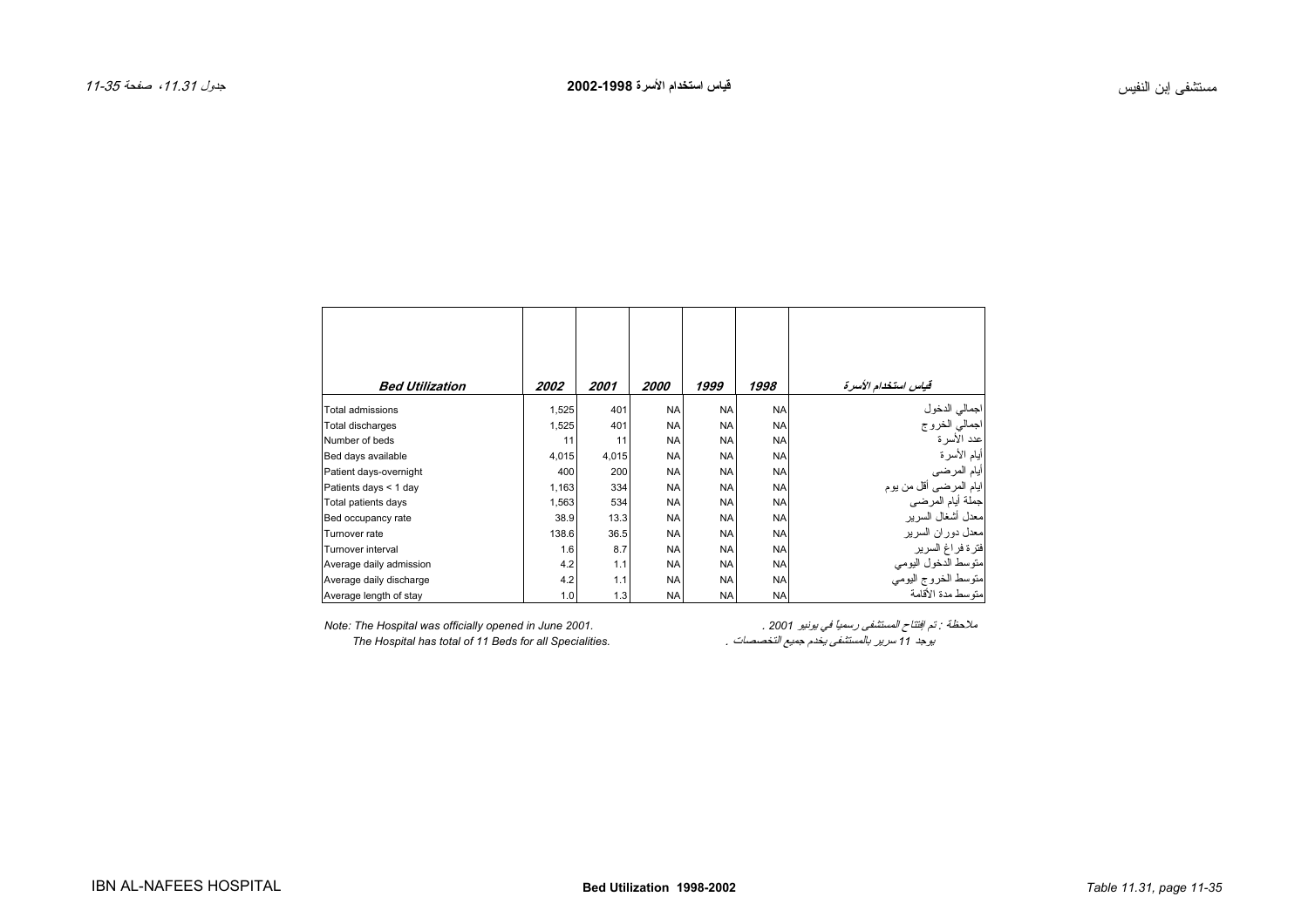<span id="page-1-0"></span>

| <b>Bed Utilization</b>  | <i><b>2002</b></i> | 2001  | <i>2000</i> | 1999      | 1998      | قياس استخدام الأسرة                          |
|-------------------------|--------------------|-------|-------------|-----------|-----------|----------------------------------------------|
| <b>Total admissions</b> | 1,525              | 401   | <b>NA</b>   | <b>NA</b> | <b>NA</b> |                                              |
| Total discharges        | 1,525              | 401   | <b>NA</b>   | <b>NA</b> | <b>NA</b> | اجمالي الدخول<br>اجمالي الخروج<br>عدد الأسرة |
| Number of beds          | 11                 | 11    | <b>NA</b>   | <b>NA</b> | <b>NA</b> |                                              |
| Bed days available      | 4,015              | 4,015 | <b>NA</b>   | <b>NA</b> | <b>NA</b> | أيام الأسر ة                                 |
| Patient days-overnight  | 400                | 200   | <b>NA</b>   | NA        | <b>NA</b> | أيام المرضى                                  |
| Patients days < 1 day   | 1,163              | 334   | <b>NA</b>   | NA        | <b>NA</b> | ايام المرضى أقل من يوم                       |
| Total patients days     | 1,563              | 534   | <b>NA</b>   | <b>NA</b> | <b>NA</b> | <br> جملة أيام المرضى                        |
| Bed occupancy rate      | 38.9               | 13.3  | <b>NA</b>   | NA        | <b>NA</b> | معدل أشغال السر بر                           |
| Turnover rate           | 138.6              | 36.5  | <b>NA</b>   | <b>NA</b> | <b>NA</b> | معدل دور ان السر بر                          |
| Turnover interval       | 1.6                | 8.7   | <b>NA</b>   | <b>NA</b> | <b>NA</b> | فترة فراغ السرير                             |
| Average daily admission | 4.2                | 1.1   | <b>NA</b>   | NA        | <b>NA</b> | متوسط الدخول اليومي                          |
| Average daily discharge | 4.2                | 1.1   | <b>NA</b>   | <b>NA</b> | <b>NA</b> | متوسط الخروج اليومى                          |
| Average length of stay  | 1.0                | 1.3   | <b>NA</b>   | NA        | <b>NA</b> | متوسط مدة الأقامة                            |

*The Hospital has total of 11 Beds for all Specialities.* 

ملاحظة : تم افتتاح المستشفى رسميا في يونيو 2001 .<br>يوجد 11 سرير بالمستشفى يخدم جميع التخصصات .<br>يوجد 11 سرير بالمستشفى يخدم جميع التخصصات .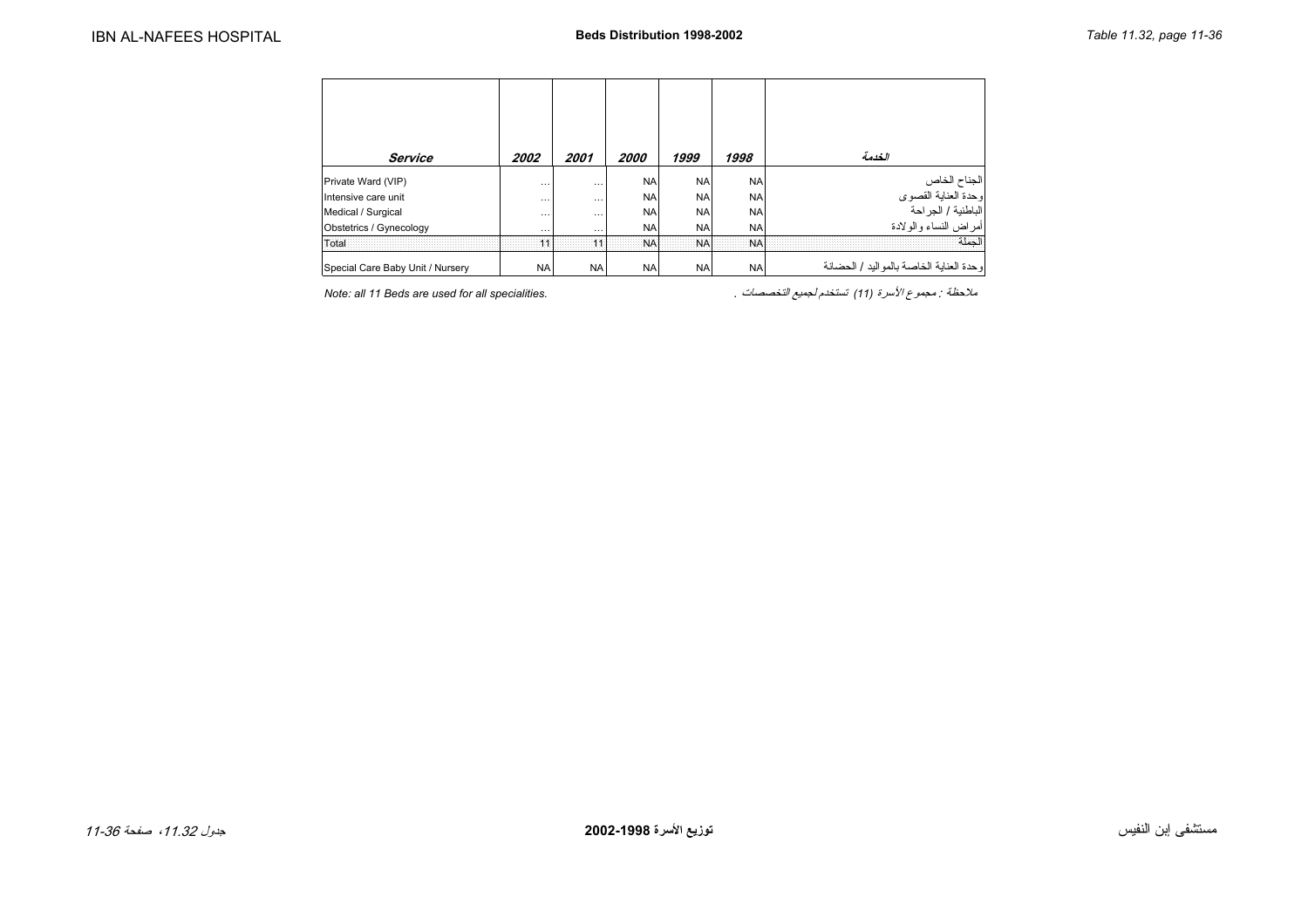<span id="page-2-0"></span>

| Service                          | 2002      | 2001 | <i><b>2000</b></i> | 1999      | 1998      | الغدمة                                   |
|----------------------------------|-----------|------|--------------------|-----------|-----------|------------------------------------------|
| Private Ward (VIP)               | $\cdots$  | .    | <b>NA</b>          | <b>NA</b> | <b>NA</b> | الجناح الخاص<br>وحدة العناية القصوي      |
| Intensive care unit              | $\cdots$  | .    | <b>NA</b>          | <b>NA</b> | <b>NA</b> |                                          |
| Medical / Surgical               | $\cdots$  | .    | <b>NA</b>          | <b>NA</b> | <b>NA</b> | الباطنية / الجراحة                       |
| Obstetrics / Gynecology          | $\cdots$  | .    | <b>NA</b>          | <b>NA</b> | <b>NA</b> | أأمراض النساء والولادة                   |
| Total                            | 11        | 11   | <b>NA</b>          | <b>NA</b> | <b>NA</b> | الحملة                                   |
| Special Care Baby Unit / Nursery | <b>NA</b> | NA.  | <b>NA</b>          | <b>NA</b> | <b>NA</b> | وحدة العناية الخاصة بالمو اليد / الحضانة |

*Note: all 11 Beds are used for all specialities.* . التخصصات لجميع تستخدم*) <sup>11</sup> (*الأسرة مجموع : ملاحظة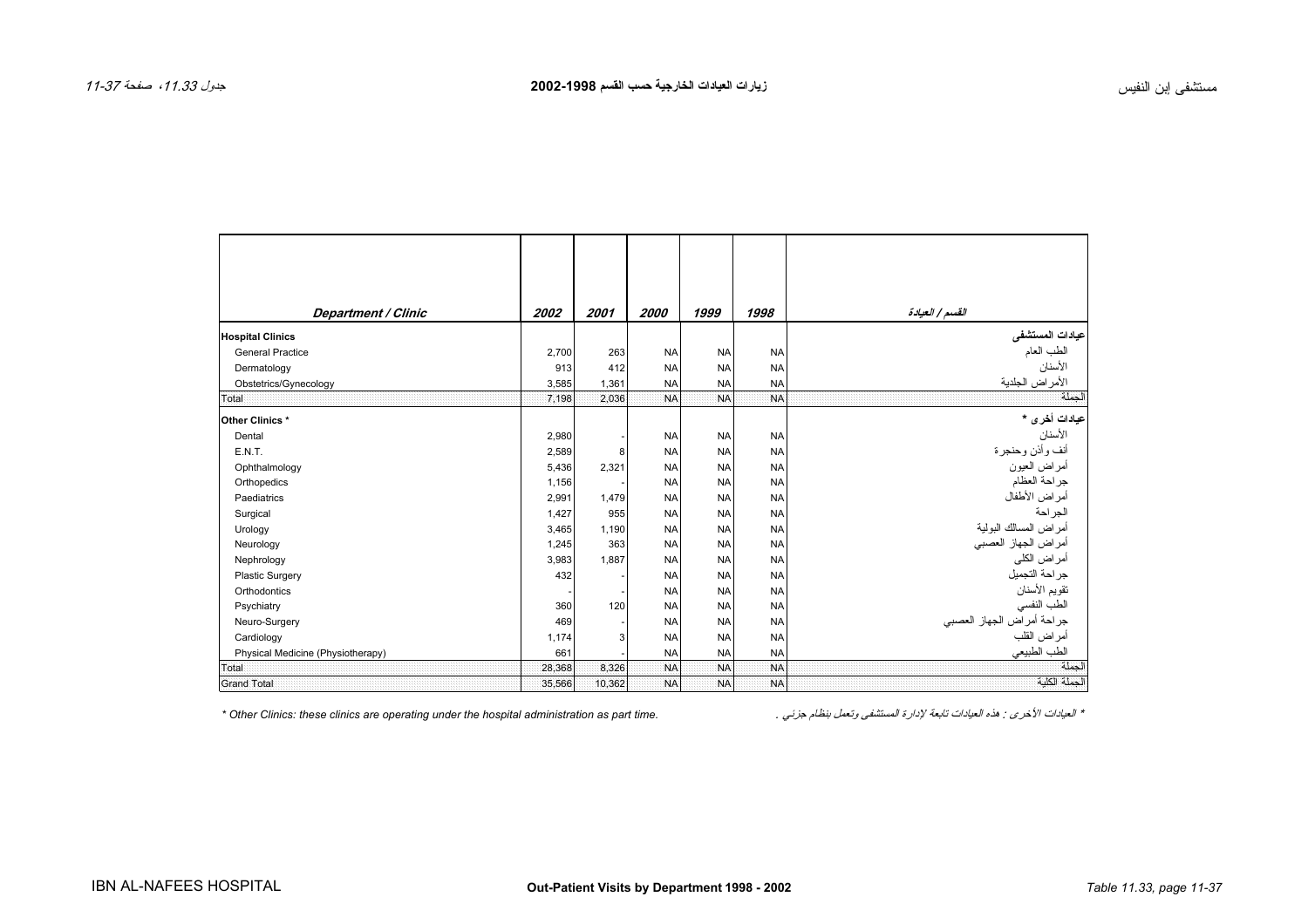<span id="page-3-0"></span>

| <b>Department / Clinic</b>        | 2002   | 2001   | <i>2000</i> | 1999      | 1998      | القسم / العيادة                                                                |
|-----------------------------------|--------|--------|-------------|-----------|-----------|--------------------------------------------------------------------------------|
| <b>Hospital Clinics</b>           |        |        |             |           |           | أ <b>عيادات المستشفى</b><br>الطب العام<br>الأسنان<br>ا <u>لأمر اض الجاد</u> ية |
| <b>General Practice</b>           | 2,700  | 263    | <b>NA</b>   | <b>NA</b> | <b>NA</b> |                                                                                |
| Dermatology                       | 913    | 412    | <b>NA</b>   | <b>NA</b> | <b>NA</b> |                                                                                |
| Obstetrics/Gynecology             | 3,585  | 1,361  | <b>NA</b>   | <b>NA</b> | <b>NA</b> |                                                                                |
| Total                             | 7,198  | 2.036  | <b>NA</b>   | <b>NA</b> | <b>NA</b> | الحملة                                                                         |
| Other Clinics*                    |        |        |             |           |           | عيادات أخرى *                                                                  |
| Dental                            | 2,980  |        | <b>NA</b>   | <b>NA</b> | <b>NA</b> | الأسنان                                                                        |
| E.N.T.                            | 2,589  | 8      | <b>NA</b>   | <b>NA</b> | <b>NA</b> | أنف وأذن وحنجرة                                                                |
| Ophthalmology                     | 5,436  | 2,321  | <b>NA</b>   | <b>NA</b> | <b>NA</b> | أمراض العيون                                                                   |
| Orthopedics                       | 1,156  |        | <b>NA</b>   | <b>NA</b> | <b>NA</b> | جراحة العظام                                                                   |
| Paediatrics                       | 2,991  | 1,479  | <b>NA</b>   | <b>NA</b> | <b>NA</b> | أمراض الأطفال                                                                  |
| Surgical                          | 1,427  | 955    | <b>NA</b>   | <b>NA</b> | <b>NA</b> | الجراحة                                                                        |
| Urology                           | 3,465  | 1,190  | <b>NA</b>   | <b>NA</b> | <b>NA</b> | أمر اض المسالك البولية                                                         |
| Neurology                         | 1,245  | 363    | <b>NA</b>   | <b>NA</b> | <b>NA</b> | أمراض الجهاز العصبي                                                            |
| Nephrology                        | 3,983  | 1,887  | <b>NA</b>   | <b>NA</b> | <b>NA</b> | أمر اض الكلي                                                                   |
| <b>Plastic Surgery</b>            | 432    |        | <b>NA</b>   | <b>NA</b> | <b>NA</b> | جر احة التجميل                                                                 |
| Orthodontics                      |        |        | <b>NA</b>   | <b>NA</b> | <b>NA</b> | تقويم الأسنان                                                                  |
| Psychiatry                        | 360    | 120    | <b>NA</b>   | <b>NA</b> | <b>NA</b> | الطب النفسي                                                                    |
| Neuro-Surgery                     | 469    |        | <b>NA</b>   | <b>NA</b> | <b>NA</b> | جر احة أمر اص الجهاز العصبي<br>أمر اض القلب                                    |
| Cardiology                        | 1,174  | 3      | <b>NA</b>   | <b>NA</b> | <b>NA</b> |                                                                                |
| Physical Medicine (Physiotherapy) | 661    |        | <b>NA</b>   | <b>NA</b> | <b>NA</b> | الطب الطبيعي                                                                   |
| Total                             | 28,368 | 8.326  | <b>NA</b>   | <b>NA</b> | <b>NA</b> | الجملة                                                                         |
| <b>Grand Total</b>                | 35,566 | 10,362 | <b>NA</b>   | <b>NA</b> | <b>NA</b> | الحملة الكلية                                                                  |

\* Other Clinics: these clinics are operating under the hospital administration as part time.<br>\* العيادات الأخرى : هذه العيادات تابعة الإدارة المستشفى وتعمل المظام جزئي .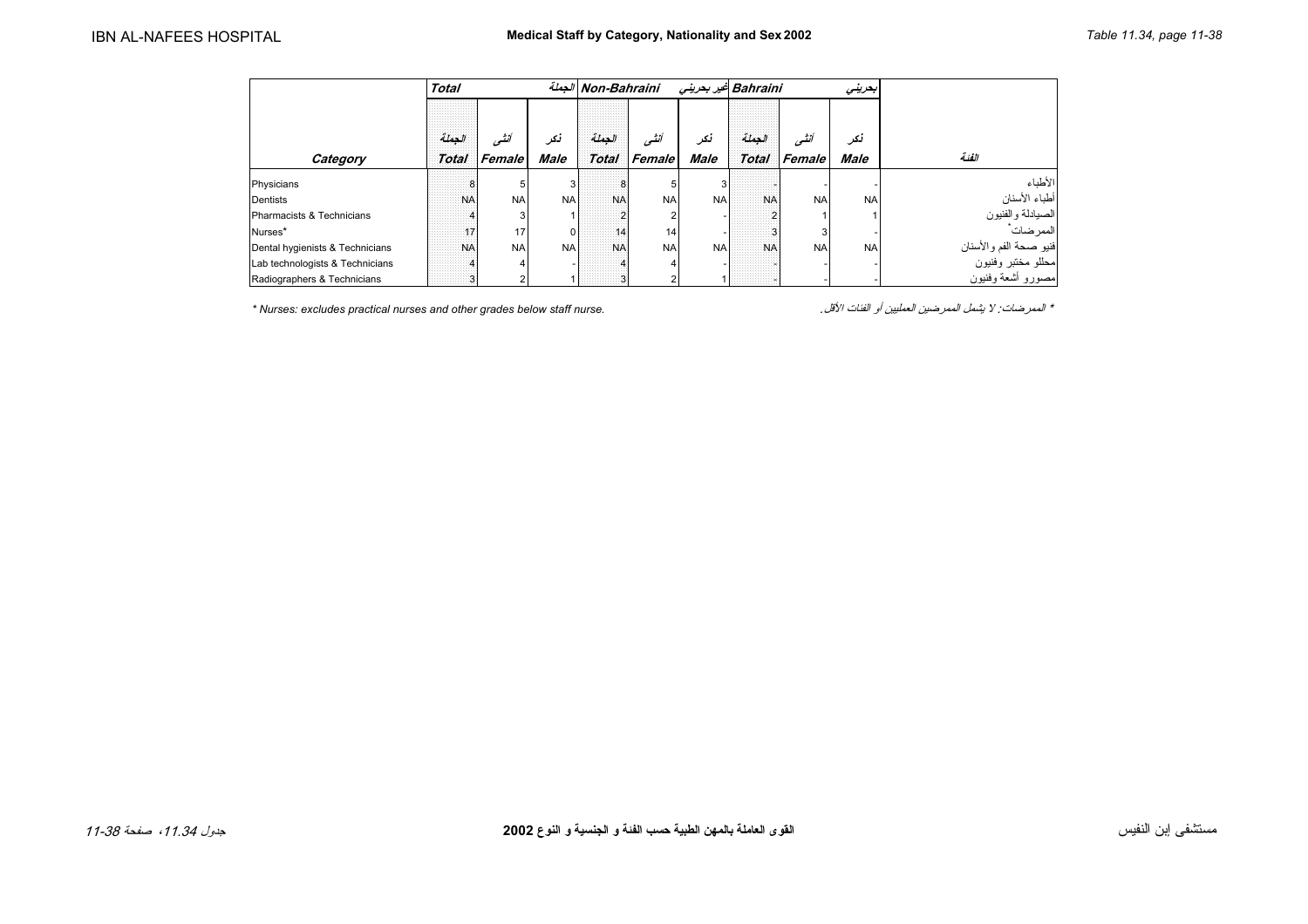<span id="page-4-0"></span>

|                                 | <b>Total</b> |           |             | الجملة Non-Bahraini |           |             |              | Bahraini غير بحريني |             |                        |
|---------------------------------|--------------|-----------|-------------|---------------------|-----------|-------------|--------------|---------------------|-------------|------------------------|
|                                 |              |           |             |                     |           |             |              |                     |             |                        |
|                                 | الحملة       | أنشور     | نكر         | الحملة              | أنشهر     | نكر         | الحملة       | أنشه                | نكر         |                        |
| Category                        | <b>Total</b> | Female    | <b>Male</b> | <b>Total</b>        | Female    | <b>Male</b> | <b>Total</b> | Female              | <b>Male</b> | الفئة                  |
| Physicians                      |              |           |             |                     |           |             |              |                     |             | الأطباء                |
| Dentists                        | <b>NA</b>    | <b>NA</b> | <b>NA</b>   | <b>NA</b>           | <b>NA</b> | <b>NA</b>   | <b>NA</b>    | <b>NA</b>           | <b>NA</b>   | أطباء الأسنان          |
| Pharmacists & Technicians       |              |           |             |                     |           |             |              |                     |             | الصيادلة والفنيون      |
| Nurses*                         | 17           | 17        | 0.          | 14                  | 14        |             |              |                     |             | الممر ضات ٌ            |
| Dental hygienists & Technicians | <b>NA</b>    | <b>NA</b> | <b>NA</b>   | <b>NA</b>           | <b>NA</b> | <b>NA</b>   | <b>NA</b>    | <b>NA</b>           | <b>NA</b>   | فنيو صحة الفم والأسنان |
| Lab technologists & Technicians |              |           |             |                     |           |             |              |                     |             | مطلو مختبر وفنيون      |
| Radiographers & Technicians     |              |           |             |                     |           |             |              |                     |             | مصورو أشعة وفنيون      |

*\* Nurses: excludes practical nurses and other grades below staff nurse.* .الأقل الفئات أو العمليين الممرضين یشمل لا :الممرضات\*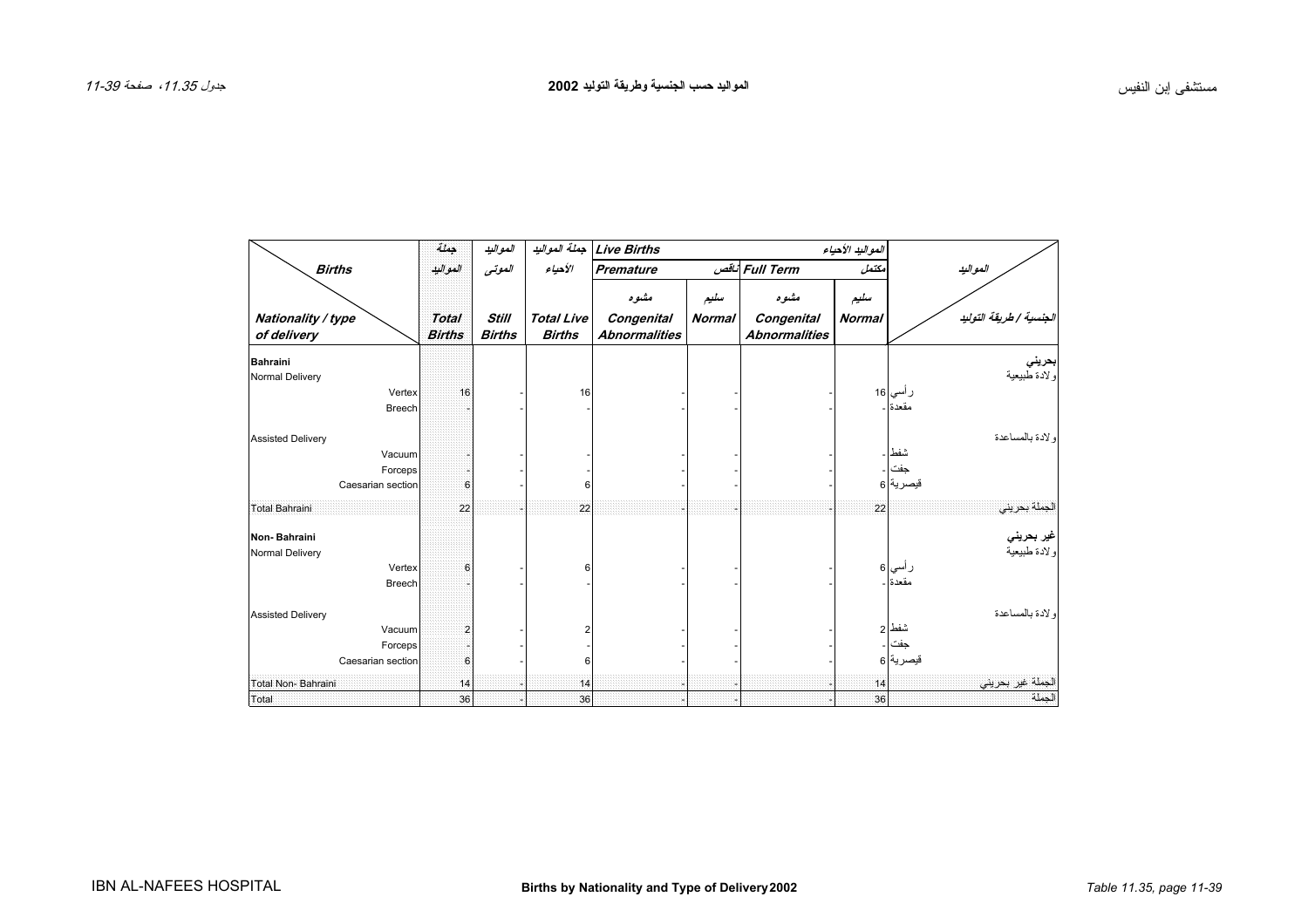<span id="page-5-0"></span>

|                                   | جعلة                          | المواليد                      | جملة المواليد                      | <b>Live Births</b>                 |                | المواليد الأحياء                   |               |                                          |
|-----------------------------------|-------------------------------|-------------------------------|------------------------------------|------------------------------------|----------------|------------------------------------|---------------|------------------------------------------|
| <b>Births</b>                     | الأحياء<br>المواليد<br>العوتى |                               |                                    | Premature                          | Full Term ناقص | مكتمل                              | المواليد      |                                          |
|                                   |                               |                               |                                    | مشوه                               | سليم           | مشىوه                              | سليم          |                                          |
| Nationality / type<br>of delivery | <b>Total</b><br><b>Births</b> | <b>Still</b><br><b>Births</b> | <b>Total Live</b><br><b>Births</b> | Congenital<br><b>Abnormalities</b> | <b>Normal</b>  | Congenital<br><b>Abnormalities</b> | <b>Normal</b> | الجنسية / طريقة التوليد                  |
| Bahraini                          |                               |                               |                                    |                                    |                |                                    |               | بحريني<br>ولادة طبيعية                   |
| Normal Delivery                   |                               |                               |                                    |                                    |                |                                    |               |                                          |
| Vertex                            | 16                            |                               | 16                                 |                                    |                |                                    |               | ر أسي 16                                 |
| <b>Breech</b>                     |                               |                               |                                    |                                    |                |                                    |               | مقعدة ۔                                  |
| <b>Assisted Delivery</b>          |                               |                               |                                    |                                    |                |                                    |               | و لادة بالمساعدة                         |
| Vacuum                            |                               |                               |                                    |                                    |                |                                    |               | شفط ۔                                    |
| Forceps                           |                               |                               |                                    |                                    |                |                                    |               | جفت                                      |
| Caesarian section                 | 6                             |                               | 6                                  |                                    |                |                                    |               | قيصرية 6                                 |
| <b>Total Bahraini</b>             | 22                            |                               | 22                                 |                                    |                |                                    | 22            | الجملة بحريني                            |
| Non-Bahraini                      |                               |                               |                                    |                                    |                |                                    |               | <b>غير بحرين<i>ي</i></b><br>ولادة طبيعية |
| Normal Delivery                   |                               |                               |                                    |                                    |                |                                    |               |                                          |
| Vertex                            | 6                             |                               | 6                                  |                                    |                |                                    |               | ر أسي 6                                  |
| Breech                            |                               |                               |                                    |                                    |                |                                    |               | مقعدة ا۔                                 |
| <b>Assisted Delivery</b>          |                               |                               |                                    |                                    |                |                                    |               | ولادة بالمساعدة                          |
| Vacuum                            | $\overline{2}$                |                               | $\overline{\mathbf{c}}$            |                                    |                |                                    |               | شفط  2                                   |
| Forceps                           |                               |                               |                                    |                                    |                |                                    |               | حفت   ۔                                  |
| Caesarian section                 | 6                             |                               | 6                                  |                                    |                |                                    |               | قيصرية 6                                 |
| Total Non-Bahraini                | 14                            |                               | 14                                 |                                    |                |                                    | 14            | لجملة غير بحريني                         |
| Total                             | 36                            |                               | 36                                 |                                    |                |                                    | 36            | الحملة                                   |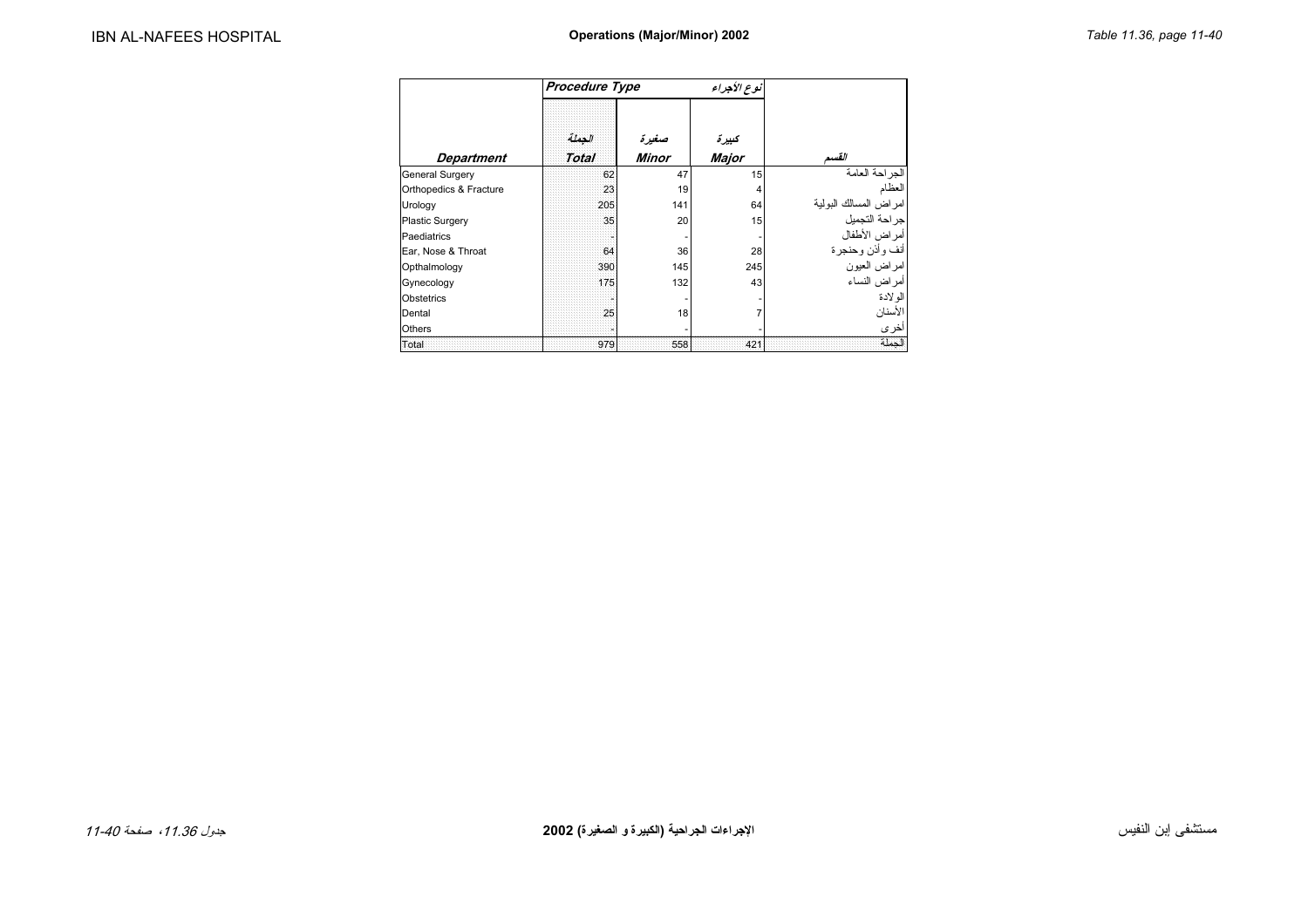<span id="page-6-0"></span>

|                        | Procedure Type         |                       | نوع الأجراء           |                       |
|------------------------|------------------------|-----------------------|-----------------------|-----------------------|
| <b>Department</b>      | الجعلة<br><b>Total</b> | صغيرة<br><b>Minor</b> | كبيرة<br><b>Major</b> | القسد                 |
|                        |                        | 47                    |                       | الجر احة العامة       |
| General Surgery        | 62                     |                       | 15                    |                       |
| Orthopedics & Fracture | 23                     | 19                    | 4                     | العظام                |
| Urology                | 205                    | 141                   | 64                    | امراض المسالك البولية |
| <b>Plastic Surgery</b> | 35                     | 20                    | 15                    | جراحة التجميل         |
| Paediatrics            |                        |                       |                       | أمر اض الأطفال        |
| Ear, Nose & Throat     | 64                     | 36                    | 28                    | أنف وأذن وحنجرة       |
| Opthalmology           | 390                    | 145                   | 245                   | امر اض العبون         |
| Gynecology             | 175                    | 132                   | 43                    | أمراض النساء          |
| <b>Obstetrics</b>      |                        |                       |                       | الو لادة              |
| Dental                 | 25                     | 18                    |                       | الأسنان               |
| Others                 |                        |                       |                       | أخرى                  |
| Total                  | 979                    | 558                   | 421                   | الحملة                |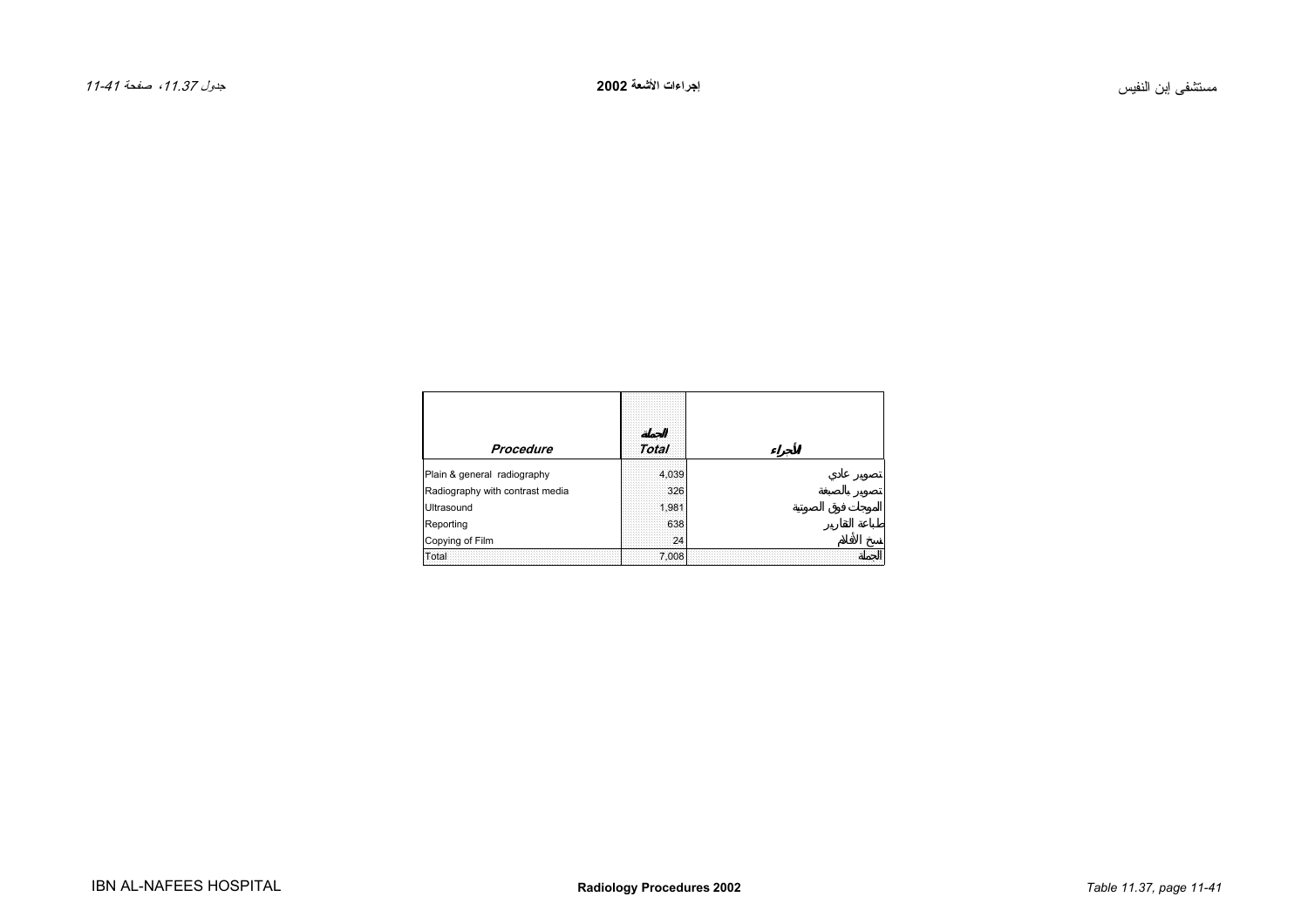<span id="page-7-0"></span>

| Procedure                       | <b>Total</b> |  |
|---------------------------------|--------------|--|
| Plain & general radiography     | 4,039        |  |
|                                 |              |  |
| Radiography with contrast media | 326          |  |
| Ultrasound                      | 1,981        |  |
| Reporting                       | 638          |  |
| Copying of Film                 | 24           |  |
| Total                           | 7.008        |  |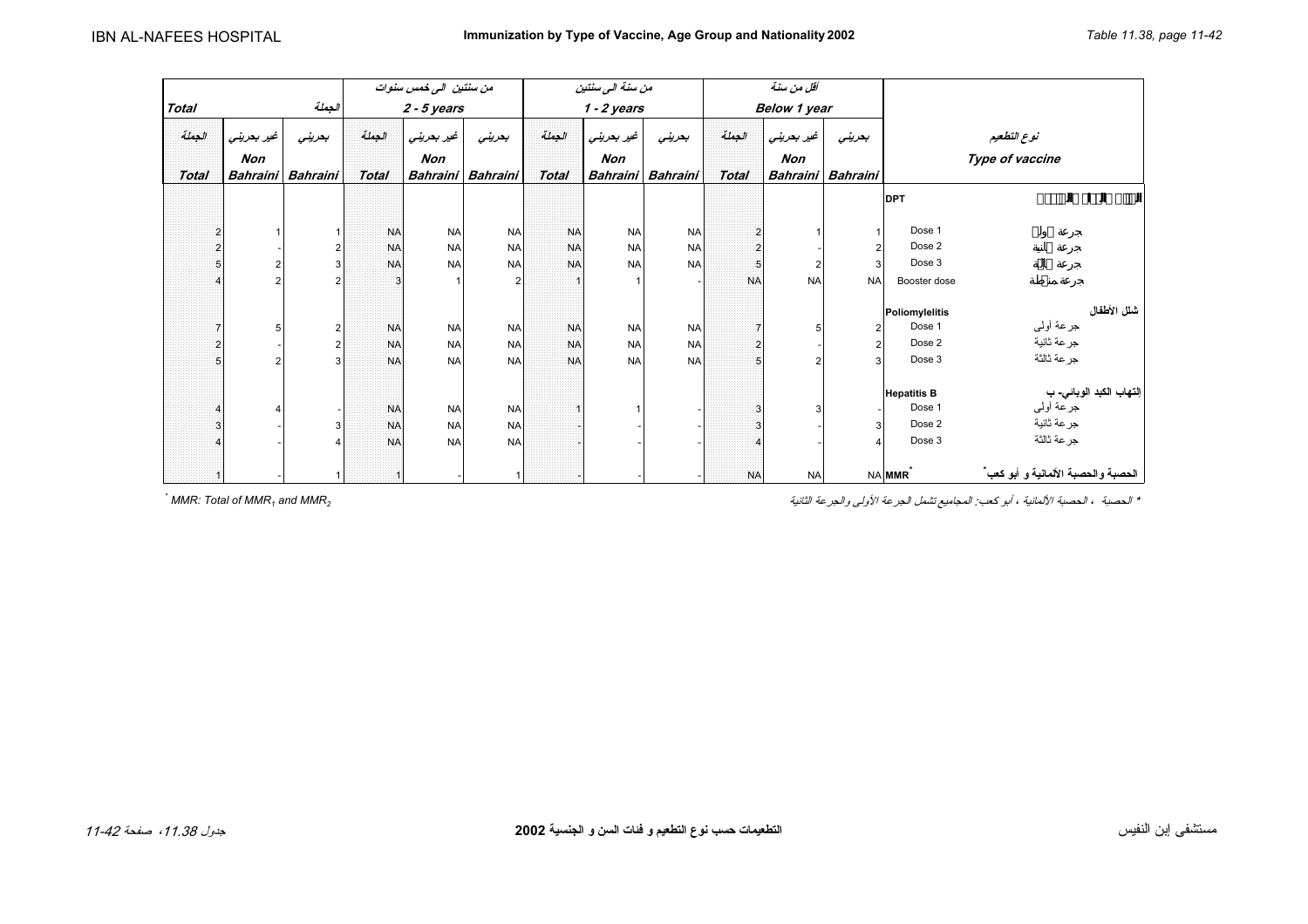<span id="page-8-0"></span>

|              |                 |                 | من سنتين الى خمس سنوات |               |                   | من سنة الى سنتين |               |                 |                | أقل من سنة          |                        |                     |                                            |
|--------------|-----------------|-----------------|------------------------|---------------|-------------------|------------------|---------------|-----------------|----------------|---------------------|------------------------|---------------------|--------------------------------------------|
| <b>Total</b> |                 | الجعلة          |                        | $2 - 5$ years |                   |                  | $1 - 2$ years |                 |                | <b>Below 1 year</b> |                        |                     |                                            |
| الجعلة       | غير بعريني      | بعريني          | الجملة                 | غير بعريني    | بعريني            | الجعلة           | غير بعريني    | بعريني          | الجعلة         | غير بعريني          | بعريني                 |                     | نوع التطعيم                                |
|              | <b>Non</b>      |                 |                        | <b>Non</b>    |                   |                  | <b>Non</b>    |                 |                | <b>Non</b>          |                        |                     | Type of vaccine                            |
| <b>Total</b> | <b>Bahraini</b> | <b>Bahraini</b> | <b>Total</b>           |               | Bahraini Bahraini | <b>Total</b>     | Bahraini      | <b>Bahraini</b> | <b>Total</b>   |                     | Bahraini Bahraini      |                     |                                            |
|              |                 |                 |                        |               |                   |                  |               |                 |                |                     |                        | <b>DPT</b>          |                                            |
| っ            |                 |                 | <b>NA</b>              | <b>NA</b>     | <b>NA</b>         | <b>NA</b>        | <b>NA</b>     | <b>NA</b>       |                |                     |                        | Dose 1              |                                            |
|              |                 |                 | <b>NA</b>              | <b>NA</b>     | <b>NA</b>         | <b>NA</b>        | <b>NA</b>     | <b>NA</b>       |                |                     | $\overline{2}$         | Dose 2              |                                            |
|              |                 |                 | <b>NA</b>              | <b>NA</b>     | <b>NA</b>         | <b>NA</b>        | <b>NA</b>     | <b>NA</b>       | 5              |                     | 3                      | Dose 3              |                                            |
|              |                 |                 | 3                      |               |                   |                  |               |                 | <b>NA</b>      | <b>NA</b>           | <b>NA</b>              | Booster dose        |                                            |
|              |                 |                 |                        |               |                   |                  |               |                 |                |                     |                        | Poliomylelitis      | شلل الأطفال                                |
|              | 5               | 2               | <b>NA</b>              | <b>NA</b>     | <b>NA</b>         | <b>NA</b>        | <b>NA</b>     | <b>NA</b>       |                | 5                   | 2 <sub>1</sub>         | Dose 1              | جرعة أولي                                  |
|              |                 |                 | <b>NA</b>              | <b>NA</b>     | <b>NA</b>         | <b>NA</b>        | <b>NA</b>     | <b>NA</b>       | $\overline{2}$ |                     | 2 <sup>1</sup>         | Dose 2              | جر عة ثانية                                |
|              | 2               |                 | <b>NA</b>              | <b>NA</b>     | <b>NA</b>         | <b>NA</b>        | <b>NA</b>     | <b>NA</b>       |                |                     | $\overline{3}$         | Dose 3              | جر عة ثالثة                                |
|              |                 |                 |                        |               |                   |                  |               |                 |                |                     |                        | <b>Hepatitis B</b>  | إ <b>لتهاب الكبد الوبان<i>ي</i>- ب</b><br> |
|              |                 |                 | <b>NA</b>              | <b>NA</b>     | <b>NA</b>         |                  |               |                 | 3              | 3                   |                        | Dose 1              |                                            |
|              |                 |                 | <b>NA</b>              | <b>NA</b>     | <b>NA</b>         |                  |               |                 |                |                     | $\overline{3}$         | Dose 2              | جرعة ثانية                                 |
|              |                 |                 | <b>NA</b>              | <b>NA</b>     | <b>NA</b>         |                  |               |                 |                |                     | $\boldsymbol{\Lambda}$ | Dose 3              | جرعة ثالثة                                 |
|              |                 |                 |                        |               |                   |                  |               |                 | <b>NA</b>      | <b>NA</b>           |                        | NA MMR <sup>1</sup> | الحصبة والحصبة الألمانية و أبو كعب ٌ       |

*\**

\* الحصبة ، الحصبة الألمانية ، أبو آعب: المجاميع تشمل الجرعة الأولى والجرعة الثانية *2MMR and 1MMR of Total :MMR*